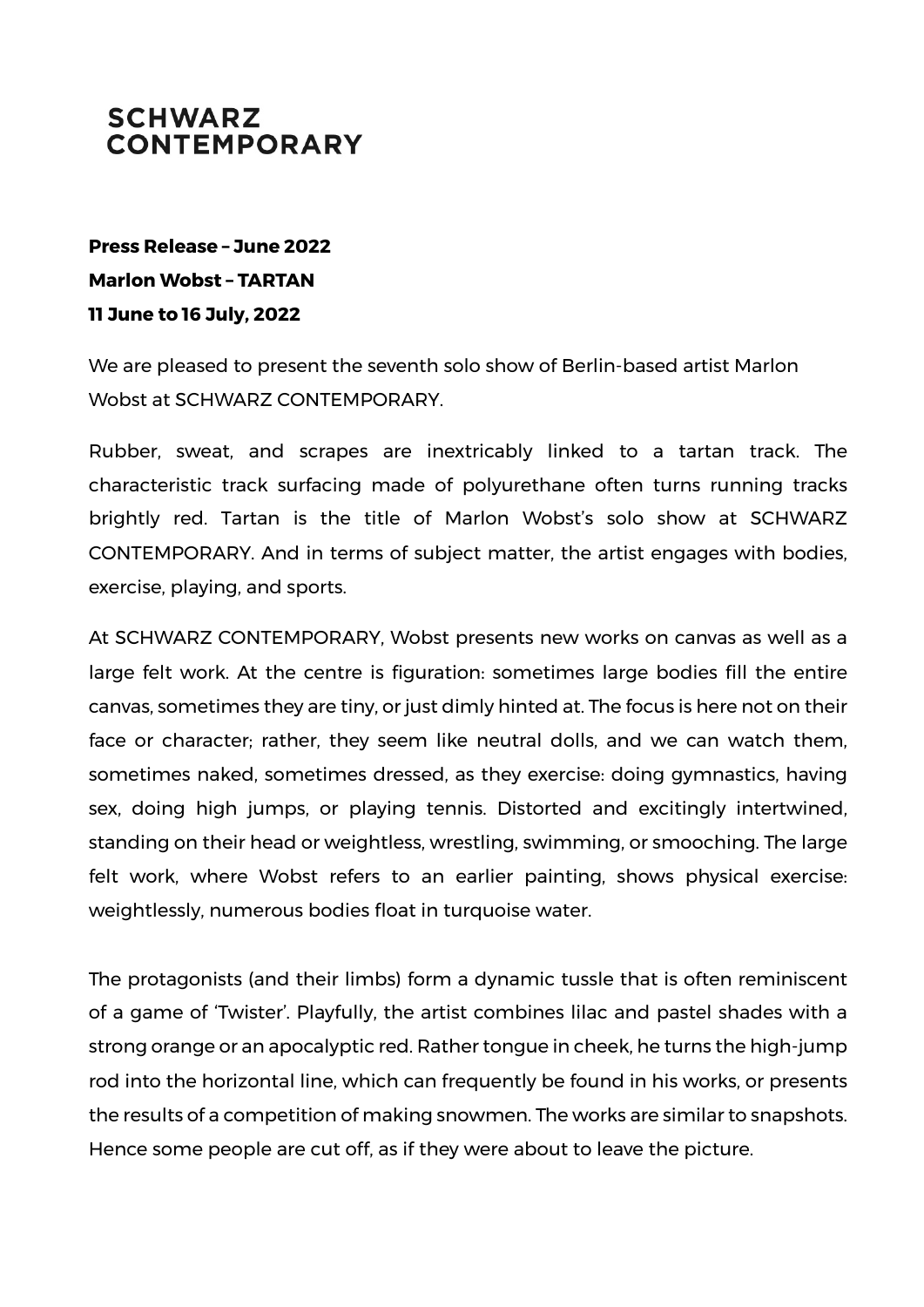## **SCHWARZ CONTEMPORARY**

## **Press Release – June 2022 Marlon Wobst – TARTAN 11 June to 16 July, 2022**

We are pleased to present the seventh solo show of Berlin-based artist Marlon Wobst at SCHWARZ CONTEMPORARY.

Rubber, sweat, and scrapes are inextricably linked to a tartan track. The characteristic track surfacing made of polyurethane often turns running tracks brightly red. Tartan is the title of Marlon Wobst's solo show at SCHWARZ CONTEMPORARY. And in terms of subject matter, the artist engages with bodies, exercise, playing, and sports.

At SCHWARZ CONTEMPORARY, Wobst presents new works on canvas as well as a large felt work. At the centre is figuration: sometimes large bodies fill the entire canvas, sometimes they are tiny, or just dimly hinted at. The focus is here not on their face or character; rather, they seem like neutral dolls, and we can watch them, sometimes naked, sometimes dressed, as they exercise: doing gymnastics, having sex, doing high jumps, or playing tennis. Distorted and excitingly intertwined, standing on their head or weightless, wrestling, swimming, or smooching. The large felt work, where Wobst refers to an earlier painting, shows physical exercise: weightlessly, numerous bodies float in turquoise water.

The protagonists (and their limbs) form a dynamic tussle that is often reminiscent of a game of 'Twister'. Playfully, the artist combines lilac and pastel shades with a strong orange or an apocalyptic red. Rather tongue in cheek, he turns the high-jump rod into the horizontal line, which can frequently be found in his works, or presents the results of a competition of making snowmen. The works are similar to snapshots. Hence some people are cut off, as if they were about to leave the picture.